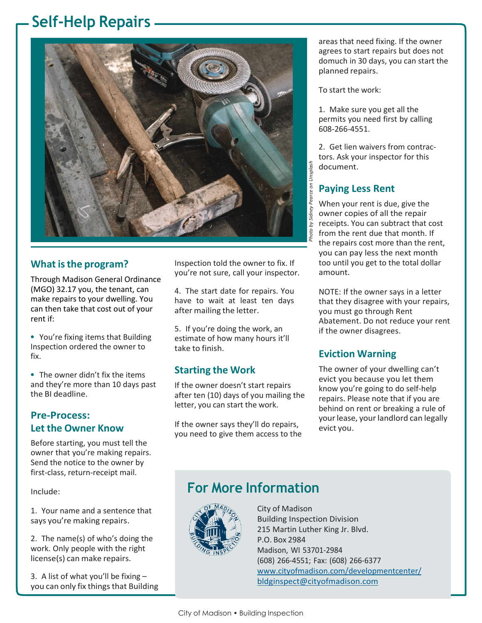# **Self-Help Repairs**



#### **What isthe program?**

Through Madison General Ordinance (MGO) 32.17 you, the tenant, can make repairs to your dwelling. You can then take that cost out of your rent if:

- **•** You're fixing items that Building Inspection ordered the owner to fix.
- **•** The owner didn't fix the items and they're more than 10 days past the BI deadline.

#### **Pre-Process: Let the Owner Know**

Before starting, you must tell the owner that you're making repairs. Send the notice to the owner by first-class, return-receipt mail.

Include:

1. Your name and a sentence that says you're making repairs.

2. The name(s) of who's doing the work. Only people with the right license(s) can make repairs.

3. A list of what you'll be fixing – you can only fix things that Building

Inspection told the owner to fix. If you're not sure, call your inspector.

4. The start date for repairs. You have to wait at least ten days after mailing the letter.

5. If you're doing the work, an estimate of how many hours it'll take to finish.

#### **Starting the Work**

If the owner doesn't start repairs after ten (10) days of you mailing the letter, you can start the work.

If the owner says they'll do repairs, you need to give them access to the areas that need fixing. If the owner agrees to start repairs but does not domuch in 30 days, you can start the planned repairs.

To start the work:

1. Make sure you get all the permits you need first by calling 608-266-4551.

2. Get lien waivers from contractors. Ask your inspector for this document.

### **Paying Less Rent**

When your rent is due, give the owner copies of all the repair receipts. You can subtract that cost from the rent due that month. If the repairs cost more than the rent, you can pay less the next month too until you get to the total dollar amount.

NOTE: If the owner says in a letter that they disagree with your repairs, you must go through Rent Abatement. Do not reduce your rent if the owner disagrees.

#### **Eviction Warning**

The owner of your dwelling can't evict you because you let them know you're going to do self-help repairs. Please note that if you are behind on rent or breaking a rule of your lease, your landlord can legally evict you.

## **For More Information**



City of Madison Building Inspection Division 215 Martin Luther King Jr. Blvd. P.O. Box 2984 Madison, WI 53701-2984 (608) 266-4551; Fax: (608) 266-6377 [www.cityofmadison.com/developmentcenter/](http://www.cityofmadison.com/developmentcenter/) **Example 12**<br> **Example 20**<br> **Example 20**<br> **Example 20**<br> **Example 20**<br> **Example 20**<br> **Example 20**<br> **Example 20**<br> **Example 20**<br> **Example 20**<br> **Example 20**<br> **Example 20**<br> **Example 20**<br> **Example 20**<br> **Example 20**<br> **Examplement**